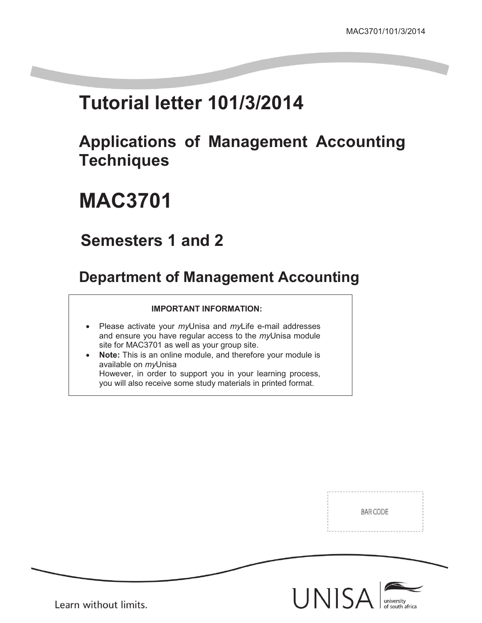# **Tutorial letter 101/3/2014**

# **Applications of Management Accounting Techniques**

# **MAC3701**

## **Semesters 1 and 2**

## **Department of Management Accounting**

### **IMPORTANT INFORMATION:**

- Please activate your *my*Unisa and *my*Life e-mail addresses and ensure you have regular access to the *my*Unisa module site for MAC3701 as well as your group site.
- **Note:** This is an online module, and therefore your module is available on *my*Unisa However, in order to support you in your learning process, you will also receive some study materials in printed format.

BAR CODE



Learn without limits.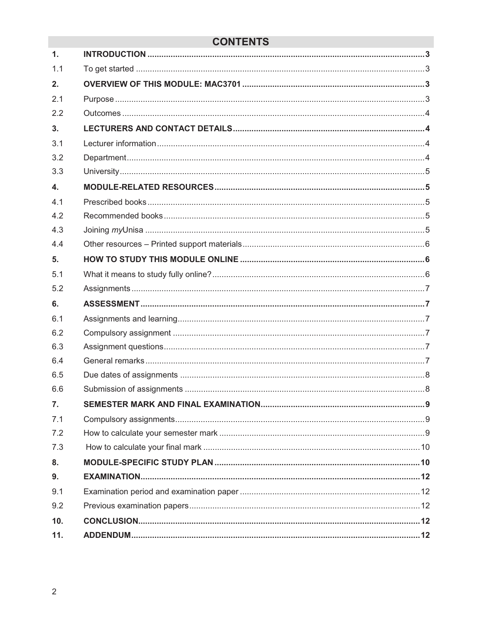### **CONTENTS**

| 1.                        |  |
|---------------------------|--|
| 1.1                       |  |
| 2.                        |  |
| 2.1                       |  |
| 2.2                       |  |
| 3.                        |  |
| 3.1                       |  |
| 3.2                       |  |
| 3.3                       |  |
| $\overline{\mathbf{4}}$ . |  |
| 4.1                       |  |
| 4.2                       |  |
| 4.3                       |  |
| 4.4                       |  |
| 5 <sub>1</sub>            |  |
| 5.1                       |  |
| 5.2                       |  |
|                           |  |
| 6.                        |  |
| 6.1                       |  |
| 6.2                       |  |
| 6.3                       |  |
| 6.4                       |  |
| 6.5                       |  |
| 6.6                       |  |
| 7.                        |  |
| 7.1                       |  |
| 7.2                       |  |
| 7.3                       |  |
| 8.                        |  |
| 9.                        |  |
| 9.1                       |  |
| 9.2                       |  |
| 10.                       |  |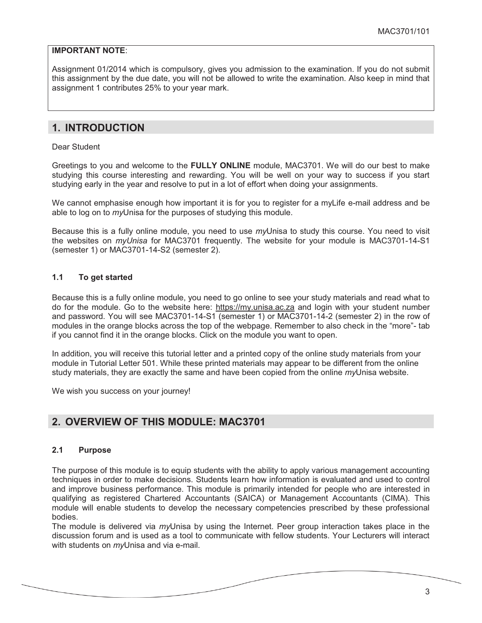### **IMPORTANT NOTE**:

Assignment 01/2014 which is compulsory, gives you admission to the examination. If you do not submit this assignment by the due date, you will not be allowed to write the examination. Also keep in mind that assignment 1 contributes 25% to your year mark.

### **1. INTRODUCTION**

Dear Student

Greetings to you and welcome to the **FULLY ONLINE** module, MAC3701. We will do our best to make studying this course interesting and rewarding. You will be well on your way to success if you start studying early in the year and resolve to put in a lot of effort when doing your assignments.

We cannot emphasise enough how important it is for you to register for a myLife e-mail address and be able to log on to *my*Unisa for the purposes of studying this module.

Because this is a fully online module, you need to use *my*Unisa to study this course. You need to visit the websites on *myUnisa* for MAC3701 frequently. The website for your module is MAC3701-14-S1 (semester 1) or MAC3701-14-S2 (semester 2).

### **1.1 To get started**

Because this is a fully online module, you need to go online to see your study materials and read what to do for the module. Go to the website here: https://my.unisa.ac.za and login with your student number and password. You will see MAC3701-14-S1 (semester 1) or MAC3701-14-2 (semester 2) in the row of modules in the orange blocks across the top of the webpage. Remember to also check in the "more"- tab if you cannot find it in the orange blocks. Click on the module you want to open.

In addition, you will receive this tutorial letter and a printed copy of the online study materials from your module in Tutorial Letter 501. While these printed materials may appear to be different from the online study materials, they are exactly the same and have been copied from the online *my*Unisa website.

We wish you success on your journey!

### **2. OVERVIEW OF THIS MODULE: MAC3701**

### **2.1 Purpose**

The purpose of this module is to equip students with the ability to apply various management accounting techniques in order to make decisions. Students learn how information is evaluated and used to control and improve business performance. This module is primarily intended for people who are interested in qualifying as registered Chartered Accountants (SAICA) or Management Accountants (CIMA). This module will enable students to develop the necessary competencies prescribed by these professional bodies.

The module is delivered via *my*Unisa by using the Internet. Peer group interaction takes place in the discussion forum and is used as a tool to communicate with fellow students. Your Lecturers will interact with students on *my*Unisa and via e-mail.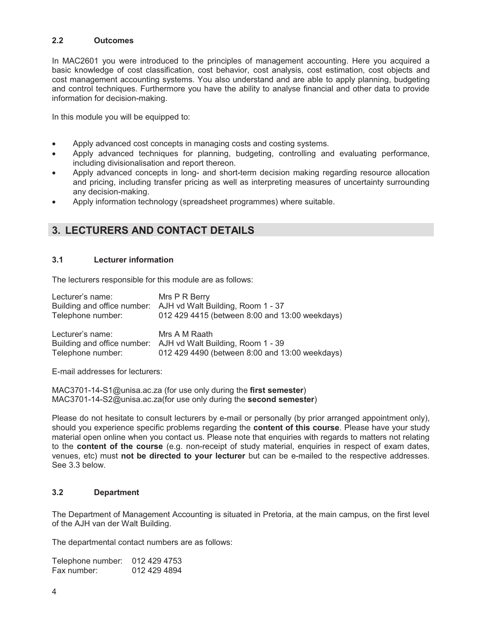### **2.2 Outcomes**

In MAC2601 you were introduced to the principles of management accounting. Here you acquired a basic knowledge of cost classification, cost behavior, cost analysis, cost estimation, cost objects and cost management accounting systems. You also understand and are able to apply planning, budgeting and control techniques. Furthermore you have the ability to analyse financial and other data to provide information for decision-making.

In this module you will be equipped to:

- Apply advanced cost concepts in managing costs and costing systems.
- Apply advanced techniques for planning, budgeting, controlling and evaluating performance, including divisionalisation and report thereon.
- Apply advanced concepts in long- and short-term decision making regarding resource allocation and pricing, including transfer pricing as well as interpreting measures of uncertainty surrounding any decision-making.
- Apply information technology (spreadsheet programmes) where suitable.

### **3. LECTURERS AND CONTACT DETAILS**

### **3.1 Lecturer information**

The lecturers responsible for this module are as follows:

| Lecturer's name:<br>Telephone number: | Mrs P R Berry<br>Building and office number: AJH vd Walt Building, Room 1 - 37<br>012 429 4415 (between 8:00 and 13:00 weekdays) |
|---------------------------------------|----------------------------------------------------------------------------------------------------------------------------------|
| Lecturer's name:<br>Telephone number: | Mrs A M Raath<br>Building and office number: AJH vd Walt Building, Room 1 - 39<br>012 429 4490 (between 8:00 and 13:00 weekdays) |

E-mail addresses for lecturers:

MAC3701-14-S1@unisa.ac.za (for use only during the **first semester**) MAC3701-14-S2@unisa.ac.za(for use only during the **second semester**)

Please do not hesitate to consult lecturers by e-mail or personally (by prior arranged appointment only), should you experience specific problems regarding the **content of this course**. Please have your study material open online when you contact us. Please note that enquiries with regards to matters not relating to the **content of the course** (e.g. non-receipt of study material, enquiries in respect of exam dates, venues, etc) must **not be directed to your lecturer** but can be e-mailed to the respective addresses. See 3.3 below.

### **3.2 Department**

The Department of Management Accounting is situated in Pretoria, at the main campus, on the first level of the AJH van der Walt Building.

The departmental contact numbers are as follows:

| Telephone number: | 012 429 4753 |
|-------------------|--------------|
| Fax number:       | 012 429 4894 |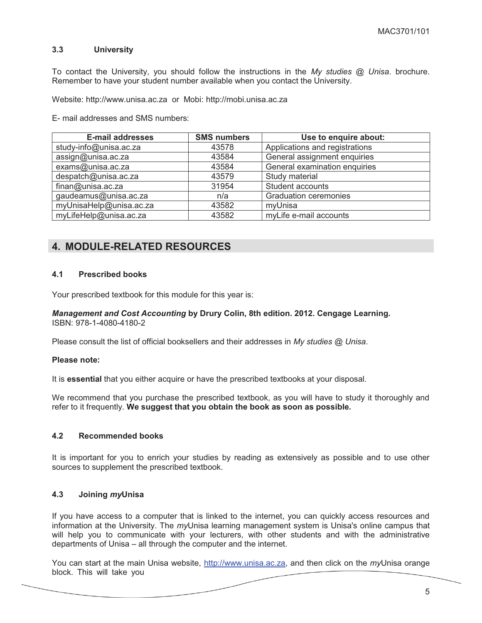### **3.3 University**

To contact the University, you should follow the instructions in the *My studies @ Unisa*. brochure. Remember to have your student number available when you contact the University.

Website: http://www.unisa.ac.za or Mobi: http://mobi.unisa.ac.za

E- mail addresses and SMS numbers:

| <b>E-mail addresses</b> | <b>SMS numbers</b> | Use to enquire about:          |
|-------------------------|--------------------|--------------------------------|
| study-info@unisa.ac.za  | 43578              | Applications and registrations |
| assign@unisa.ac.za      | 43584              | General assignment enquiries   |
| exams@unisa.ac.za       | 43584              | General examination enquiries  |
| despatch@unisa.ac.za    | 43579              | Study material                 |
| finan@unisa.ac.za       | 31954              | Student accounts               |
| gaudeamus@unisa.ac.za   | n/a                | <b>Graduation ceremonies</b>   |
| myUnisaHelp@unisa.ac.za | 43582              | myUnisa                        |
| myLifeHelp@unisa.ac.za  | 43582              | myLife e-mail accounts         |

### **4. MODULE-RELATED RESOURCES**

### **4.1 Prescribed books**

Your prescribed textbook for this module for this year is:

#### *Management and Cost Accounting* **by Drury Colin, 8th edition. 2012. Cengage Learning.**  ISBN: 978-1-4080-4180-2

Please consult the list of official booksellers and their addresses in *My studies @ Unisa*.

#### **Please note:**

It is **essential** that you either acquire or have the prescribed textbooks at your disposal.

We recommend that you purchase the prescribed textbook, as you will have to study it thoroughly and refer to it frequently. **We suggest that you obtain the book as soon as possible.**

#### **4.2 Recommended books**

It is important for you to enrich your studies by reading as extensively as possible and to use other sources to supplement the prescribed textbook.

### **4.3 Joining** *my***Unisa**

If you have access to a computer that is linked to the internet, you can quickly access resources and information at the University. The *my*Unisa learning management system is Unisa's online campus that will help you to communicate with your lecturers, with other students and with the administrative departments of Unisa – all through the computer and the internet.

You can start at the main Unisa website, http://www.unisa.ac.za, and then click on the *my*Unisa orange block. This will take you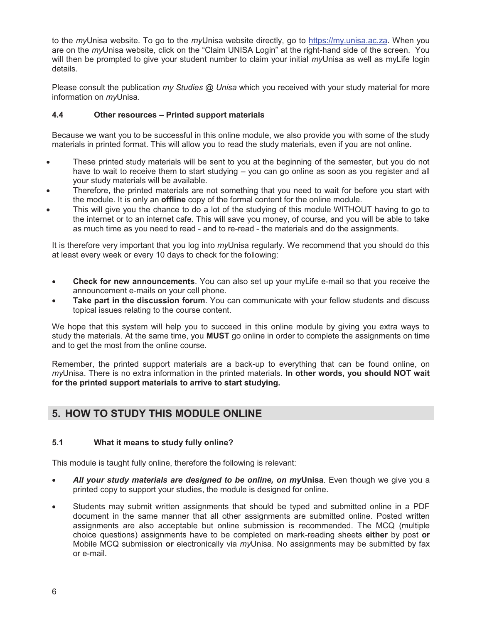to the *my*Unisa website. To go to the *my*Unisa website directly, go to https://my.unisa.ac.za. When you are on the *my*Unisa website*,* click on the "Claim UNISA Login" at the right-hand side of the screen. You will then be prompted to give your student number to claim your initial *my*Unisa as well as myLife login details.

Please consult the publication *my Studies @ Unisa* which you received with your study material for more information on *my*Unisa.

### **4.4 Other resources – Printed support materials**

Because we want you to be successful in this online module, we also provide you with some of the study materials in printed format. This will allow you to read the study materials, even if you are not online.

- These printed study materials will be sent to you at the beginning of the semester, but you do not have to wait to receive them to start studying – you can go online as soon as you register and all your study materials will be available.
- Therefore, the printed materials are not something that you need to wait for before you start with the module. It is only an **offline** copy of the formal content for the online module.
- This will give you the chance to do a lot of the studying of this module WITHOUT having to go to the internet or to an internet cafe. This will save you money, of course, and you will be able to take as much time as you need to read - and to re-read - the materials and do the assignments.

It is therefore very important that you log into *my*Unisa regularly. We recommend that you should do this at least every week or every 10 days to check for the following:

- **Check for new announcements**. You can also set up your myLife e-mail so that you receive the announcement e-mails on your cell phone.
- **Take part in the discussion forum**. You can communicate with your fellow students and discuss topical issues relating to the course content.

We hope that this system will help you to succeed in this online module by giving you extra ways to study the materials. At the same time, you **MUST** go online in order to complete the assignments on time and to get the most from the online course.

Remember, the printed support materials are a back-up to everything that can be found online, on *my*Unisa. There is no extra information in the printed materials. **In other words, you should NOT wait for the printed support materials to arrive to start studying.** 

### **5. HOW TO STUDY THIS MODULE ONLINE**

### **5.1 What it means to study fully online?**

This module is taught fully online, therefore the following is relevant:

- *All your study materials are designed to be online, on my***Unisa**. Even though we give you a printed copy to support your studies, the module is designed for online.
- Students may submit written assignments that should be typed and submitted online in a PDF document in the same manner that all other assignments are submitted online. Posted written assignments are also acceptable but online submission is recommended. The MCQ (multiple choice questions) assignments have to be completed on mark-reading sheets **either** by post **or** Mobile MCQ submission **or** electronically via *my*Unisa. No assignments may be submitted by fax or e-mail.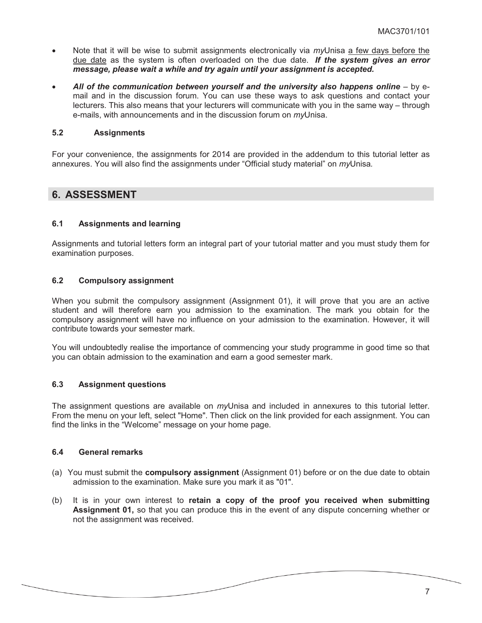- Note that it will be wise to submit assignments electronically via *my*Unisa a few days before the due date as the system is often overloaded on the due date. *If the system gives an error message, please wait a while and try again until your assignment is accepted.*
- *All of the communication between yourself and the university also happens online* by email and in the discussion forum. You can use these ways to ask questions and contact your lecturers. This also means that your lecturers will communicate with you in the same way – through e-mails, with announcements and in the discussion forum on *my*Unisa.

### **5.2 Assignments**

For your convenience, the assignments for 2014 are provided in the addendum to this tutorial letter as annexures. You will also find the assignments under "Official study material" on *my*Unisa*.* 

### **6. ASSESSMENT**

### **6.1 Assignments and learning**

Assignments and tutorial letters form an integral part of your tutorial matter and you must study them for examination purposes.

### **6.2 Compulsory assignment**

When you submit the compulsory assignment (Assignment 01), it will prove that you are an active student and will therefore earn you admission to the examination. The mark you obtain for the compulsory assignment will have no influence on your admission to the examination. However, it will contribute towards your semester mark.

You will undoubtedly realise the importance of commencing your study programme in good time so that you can obtain admission to the examination and earn a good semester mark.

#### **6.3 Assignment questions**

The assignment questions are available on *my*Unisa and included in annexures to this tutorial letter. From the menu on your left, select "Home". Then click on the link provided for each assignment. You can find the links in the "Welcome" message on your home page.

### **6.4 General remarks**

- (a) You must submit the **compulsory assignment** (Assignment 01) before or on the due date to obtain admission to the examination. Make sure you mark it as "01".
- (b) It is in your own interest to **retain a copy of the proof you received when submitting Assignment 01,** so that you can produce this in the event of any dispute concerning whether or not the assignment was received.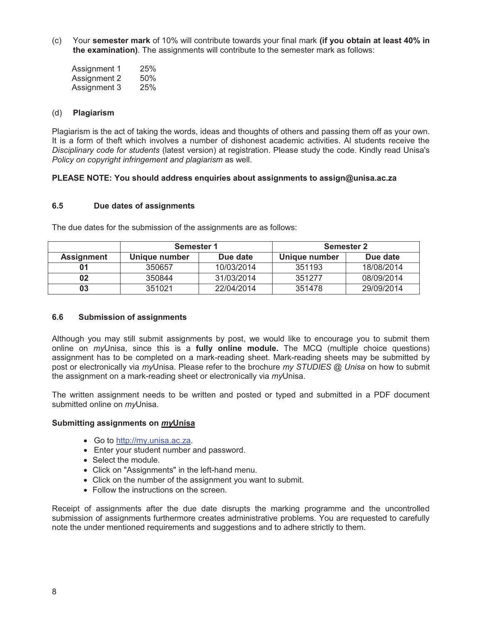(c) Your **semester mark** of 10% will contribute towards your final mark **(if you obtain at least 40% in the examination)**. The assignments will contribute to the semester mark as follows:

| Assignment 1 | 25% |
|--------------|-----|
| Assignment 2 | 50% |
| Assignment 3 | 25% |

### (d) **Plagiarism**

Plagiarism is the act of taking the words, ideas and thoughts of others and passing them off as your own. It is a form of theft which involves a number of dishonest academic activities. Al students receive the *Disciplinary code for students* (latest version) at registration. Please study the code. Kindly read Unisa's *Policy on copyright infringement and plagiarism* as well.

### **PLEASE NOTE: You should address enquiries about assignments to assign@unisa.ac.za**

### **6.5 Due dates of assignments**

|                   | Semester 1<br><b>Semester 2</b> |            |               |            |
|-------------------|---------------------------------|------------|---------------|------------|
| <b>Assignment</b> | Unique number                   | Due date   | Unique number | Due date   |
| 01                | 350657                          | 10/03/2014 | 351193        | 18/08/2014 |
| 02                | 350844                          | 31/03/2014 | 351277        | 08/09/2014 |
| 03                | 351021                          | 22/04/2014 | 351478        | 29/09/2014 |

The due dates for the submission of the assignments are as follows:

### **6.6 Submission of assignments**

Although you may still submit assignments by post, we would like to encourage you to submit them online on *my*Unisa, since this is a **fully online module.** The MCQ (multiple choice questions) assignment has to be completed on a mark-reading sheet. Mark-reading sheets may be submitted by post or electronically via *my*Unisa. Please refer to the brochure *my STUDIES @ Unisa* on how to submit the assignment on a mark-reading sheet or electronically via *my*Unisa.

The written assignment needs to be written and posted or typed and submitted in a PDF document submitted online on *my*Unisa.

### **Submitting assignments on** *my***Unisa**

- Go to http://my.unisa.ac.za.
- Enter your student number and password.
- Select the module.
- Click on "Assignments" in the left-hand menu.
- Click on the number of the assignment you want to submit.
- Follow the instructions on the screen.

Receipt of assignments after the due date disrupts the marking programme and the uncontrolled submission of assignments furthermore creates administrative problems. You are requested to carefully note the under mentioned requirements and suggestions and to adhere strictly to them.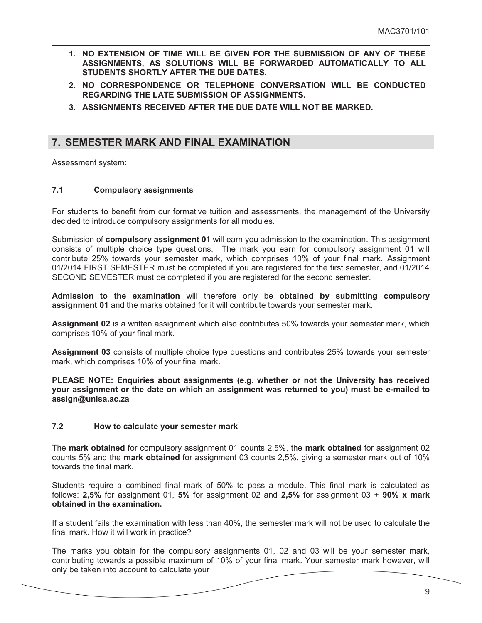- **1. NO EXTENSION OF TIME WILL BE GIVEN FOR THE SUBMISSION OF ANY OF THESE ASSIGNMENTS, AS SOLUTIONS WILL BE FORWARDED AUTOMATICALLY TO ALL STUDENTS SHORTLY AFTER THE DUE DATES.**
- **2. NO CORRESPONDENCE OR TELEPHONE CONVERSATION WILL BE CONDUCTED REGARDING THE LATE SUBMISSION OF ASSIGNMENTS.**
- **3. ASSIGNMENTS RECEIVED AFTER THE DUE DATE WILL NOT BE MARKED.**

### **7. SEMESTER MARK AND FINAL EXAMINATION**

Assessment system:

### **7.1 Compulsory assignments**

For students to benefit from our formative tuition and assessments, the management of the University decided to introduce compulsory assignments for all modules.

Submission of **compulsory assignment 01** will earn you admission to the examination. This assignment consists of multiple choice type questions. The mark you earn for compulsory assignment 01 will contribute 25% towards your semester mark, which comprises 10% of your final mark. Assignment 01/2014 FIRST SEMESTER must be completed if you are registered for the first semester, and 01/2014 SECOND SEMESTER must be completed if you are registered for the second semester.

**Admission to the examination** will therefore only be **obtained by submitting compulsory assignment 01** and the marks obtained for it will contribute towards your semester mark.

**Assignment 02** is a written assignment which also contributes 50% towards your semester mark, which comprises 10% of your final mark.

**Assignment 03** consists of multiple choice type questions and contributes 25% towards your semester mark, which comprises 10% of your final mark.

**PLEASE NOTE: Enquiries about assignments (e.g. whether or not the University has received your assignment or the date on which an assignment was returned to you) must be e-mailed to assign@unisa.ac.za**

#### **7.2 How to calculate your semester mark**

The **mark obtained** for compulsory assignment 01 counts 2,5%, the **mark obtained** for assignment 02 counts 5% and the **mark obtained** for assignment 03 counts 2,5%, giving a semester mark out of 10% towards the final mark.

Students require a combined final mark of 50% to pass a module. This final mark is calculated as follows: **2,5%** for assignment 01, **5%** for assignment 02 and **2,5%** for assignment 03 + **90% x mark obtained in the examination.** 

If a student fails the examination with less than 40%, the semester mark will not be used to calculate the final mark. How it will work in practice?

The marks you obtain for the compulsory assignments 01, 02 and 03 will be your semester mark, contributing towards a possible maximum of 10% of your final mark. Your semester mark however, will only be taken into account to calculate your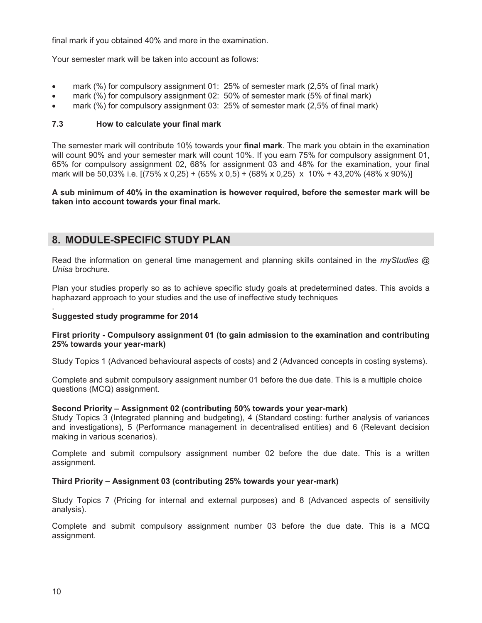final mark if you obtained 40% and more in the examination.

Your semester mark will be taken into account as follows:

- mark (%) for compulsory assignment 01: 25% of semester mark (2,5% of final mark)
- mark (%) for compulsory assignment 02: 50% of semester mark (5% of final mark)
- mark (%) for compulsory assignment 03: 25% of semester mark (2,5% of final mark)

### **7.3 How to calculate your final mark**

The semester mark will contribute 10% towards your **final mark**. The mark you obtain in the examination will count 90% and your semester mark will count 10%. If you earn 75% for compulsory assignment 01, 65% for compulsory assignment 02, 68% for assignment 03 and 48% for the examination, your final mark will be 50,03% i.e. [(75% x 0,25) + (65% x 0,5) + (68% x 0,25) x 10% + 43,20% (48% x 90%)]

**A sub minimum of 40% in the examination is however required, before the semester mark will be taken into account towards your final mark.** 

### **8. MODULE-SPECIFIC STUDY PLAN**

Read the information on general time management and planning skills contained in the *myStudies @ Unisa* brochure.

Plan your studies properly so as to achieve specific study goals at predetermined dates. This avoids a haphazard approach to your studies and the use of ineffective study techniques

#### . **Suggested study programme for 2014**

### **First priority - Compulsory assignment 01 (to gain admission to the examination and contributing 25% towards your year-mark)**

Study Topics 1 (Advanced behavioural aspects of costs) and 2 (Advanced concepts in costing systems).

Complete and submit compulsory assignment number 01 before the due date. This is a multiple choice questions (MCQ) assignment.

### **Second Priority – Assignment 02 (contributing 50% towards your year-mark)**

Study Topics 3 (Integrated planning and budgeting), 4 (Standard costing: further analysis of variances and investigations), 5 (Performance management in decentralised entities) and 6 (Relevant decision making in various scenarios).

Complete and submit compulsory assignment number 02 before the due date. This is a written assignment.

### **Third Priority – Assignment 03 (contributing 25% towards your year-mark)**

Study Topics 7 (Pricing for internal and external purposes) and 8 (Advanced aspects of sensitivity analysis).

Complete and submit compulsory assignment number 03 before the due date. This is a MCQ assignment.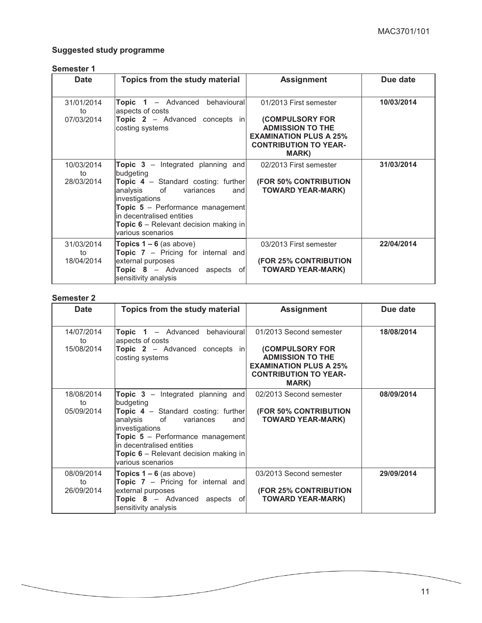### **Suggested study programme**

### **Semester 1**

| <b>Date</b>                    | Topics from the study material                                                                                                                                                                                                                                                 | <b>Assignment</b>                                                                                                                                             | Due date   |
|--------------------------------|--------------------------------------------------------------------------------------------------------------------------------------------------------------------------------------------------------------------------------------------------------------------------------|---------------------------------------------------------------------------------------------------------------------------------------------------------------|------------|
| 31/01/2014<br>to<br>07/03/2014 | <b>Topic 1</b> - Advanced behavioural<br>aspects of costs<br><b>Topic 2</b> – Advanced concepts in<br>costing systems                                                                                                                                                          | 01/2013 First semester<br><b>(COMPULSORY FOR</b><br><b>ADMISSION TO THE</b><br><b>EXAMINATION PLUS A 25%</b><br><b>CONTRIBUTION TO YEAR-</b><br><b>MARK</b> ) | 10/03/2014 |
| 10/03/2014<br>to<br>28/03/2014 | Topic 3 - Integrated planning and<br>budgeting<br>Topic 4 - Standard costing: further<br>analysis of variances<br>andl<br>investigations<br>Topic 5 - Performance management<br>in decentralised entities<br><b>Topic 6</b> – Relevant decision making in<br>various scenarios | 02/2013 First semester<br><b>(FOR 50% CONTRIBUTION</b><br><b>TOWARD YEAR-MARK)</b>                                                                            | 31/03/2014 |
| 31/03/2014<br>to<br>18/04/2014 | <b>Topics <math>1 - 6</math></b> (as above)<br><b>Topic 7</b> – Pricing for internal and<br>external purposes<br>Topic 8 - Advanced aspects of<br>sensitivity analysis                                                                                                         | 03/2013 First semester<br><b>(FOR 25% CONTRIBUTION</b><br><b>TOWARD YEAR-MARK)</b>                                                                            | 22/04/2014 |

#### **Semester 2**

| <b>Date</b>                    | Topics from the study material                                                                                                                                                                                                                                                       | <b>Assignment</b>                                                                                                                                              | Due date   |
|--------------------------------|--------------------------------------------------------------------------------------------------------------------------------------------------------------------------------------------------------------------------------------------------------------------------------------|----------------------------------------------------------------------------------------------------------------------------------------------------------------|------------|
| 14/07/2014<br>to<br>15/08/2014 | <b>Topic 1</b> - Advanced behavioural<br>aspects of costs<br><b>Topic 2</b> – Advanced concepts in<br>costing systems                                                                                                                                                                | 01/2013 Second semester<br><b>(COMPULSORY FOR</b><br><b>ADMISSION TO THE</b><br><b>EXAMINATION PLUS A 25%</b><br><b>CONTRIBUTION TO YEAR-</b><br><b>MARK</b> ) | 18/08/2014 |
| 18/08/2014<br>to<br>05/09/2014 | <b>Topic 3</b> – Integrated planning and<br>budgeting<br>Topic 4 - Standard costing: further<br>analysis of variances<br>and<br>investigations<br>Topic 5 - Performance management<br>in decentralised entities<br><b>Topic 6</b> – Relevant decision making in<br>various scenarios | 02/2013 Second semester<br><b>(FOR 50% CONTRIBUTION</b><br><b>TOWARD YEAR-MARK)</b>                                                                            | 08/09/2014 |
| 08/09/2014<br>to<br>26/09/2014 | Topics $1 - 6$ (as above)<br><b>Topic 7</b> – Pricing for internal and<br>external purposes<br>Topic 8 - Advanced aspects of<br>sensitivity analysis                                                                                                                                 | 03/2013 Second semester<br><b>(FOR 25% CONTRIBUTION</b><br><b>TOWARD YEAR-MARK)</b>                                                                            | 29/09/2014 |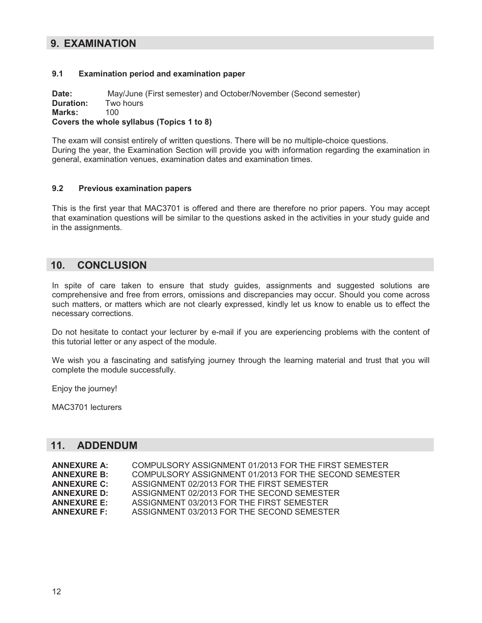### **9. EXAMINATION**

### **9.1 Examination period and examination paper**

**Date:** May/June (First semester) and October/November (Second semester) **Duration:** Two hours **Marks:** 100 **Covers the whole syllabus (Topics 1 to 8)** 

The exam will consist entirely of written questions. There will be no multiple-choice questions. During the year, the Examination Section will provide you with information regarding the examination in general, examination venues, examination dates and examination times.

### **9.2 Previous examination papers**

This is the first year that MAC3701 is offered and there are therefore no prior papers. You may accept that examination questions will be similar to the questions asked in the activities in your study guide and in the assignments.

### **10. CONCLUSION**

In spite of care taken to ensure that study guides, assignments and suggested solutions are comprehensive and free from errors, omissions and discrepancies may occur. Should you come across such matters, or matters which are not clearly expressed, kindly let us know to enable us to effect the necessary corrections.

Do not hesitate to contact your lecturer by e-mail if you are experiencing problems with the content of this tutorial letter or any aspect of the module.

We wish you a fascinating and satisfying journey through the learning material and trust that you will complete the module successfully.

Enjoy the journey!

MAC3701 lecturers

### **11. ADDENDUM**

| <b>ANNEXURE A:</b> | COMPULSORY ASSIGNMENT 01/2013 FOR THE FIRST SEMESTER  |
|--------------------|-------------------------------------------------------|
| <b>ANNEXURE B:</b> | COMPULSORY ASSIGNMENT 01/2013 FOR THE SECOND SEMESTER |
| <b>ANNEXURE C:</b> | ASSIGNMENT 02/2013 FOR THE FIRST SEMESTER             |
| <b>ANNEXURE D:</b> | ASSIGNMENT 02/2013 FOR THE SECOND SEMESTER            |
| <b>ANNEXURE E:</b> | ASSIGNMENT 03/2013 FOR THE FIRST SEMESTER             |
| <b>ANNEXURE F:</b> | ASSIGNMENT 03/2013 FOR THE SECOND SEMESTER            |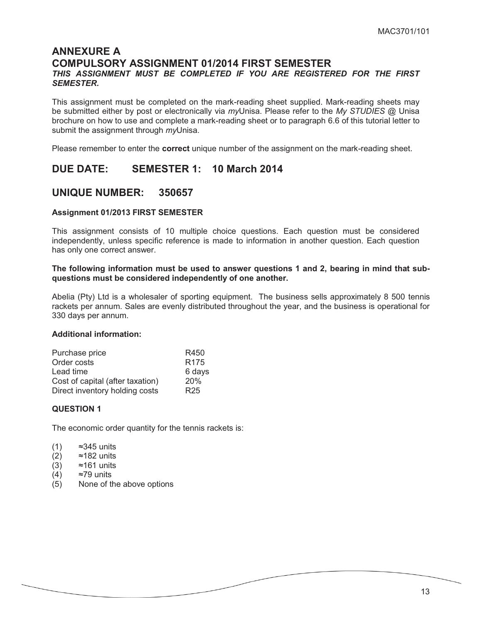### **ANNEXURE A COMPULSORY ASSIGNMENT 01/2014 FIRST SEMESTER**  *THIS ASSIGNMENT MUST BE COMPLETED IF YOU ARE REGISTERED FOR THE FIRST SEMESTER.*

This assignment must be completed on the mark-reading sheet supplied. Mark-reading sheets may be submitted either by post or electronically via *my*Unisa. Please refer to the *My STUDIES* @ Unisa brochure on how to use and complete a mark-reading sheet or to paragraph 6.6 of this tutorial letter to submit the assignment through *my*Unisa.

Please remember to enter the **correct** unique number of the assignment on the mark-reading sheet.

### **DUE DATE: SEMESTER 1: 10 March 2014**

### **UNIQUE NUMBER: 350657**

### **Assignment 01/2013 FIRST SEMESTER**

This assignment consists of 10 multiple choice questions. Each question must be considered independently, unless specific reference is made to information in another question. Each question has only one correct answer.

### **The following information must be used to answer questions 1 and 2, bearing in mind that subquestions must be considered independently of one another.**

Abelia (Pty) Ltd is a wholesaler of sporting equipment. The business sells approximately 8 500 tennis rackets per annum. Sales are evenly distributed throughout the year, and the business is operational for 330 days per annum.

### **Additional information:**

| Purchase price                   | R450             |
|----------------------------------|------------------|
| Order costs                      | R <sub>175</sub> |
| Lead time                        | 6 days           |
| Cost of capital (after taxation) | 20%              |
| Direct inventory holding costs   | R <sub>25</sub>  |

### **QUESTION 1**

The economic order quantity for the tennis rackets is:

| (1) | ≈345 units |  |
|-----|------------|--|
|-----|------------|--|

- (2) ≈182 units
- (3) ≈161 units
- (4) ≈79 units
- (5) None of the above options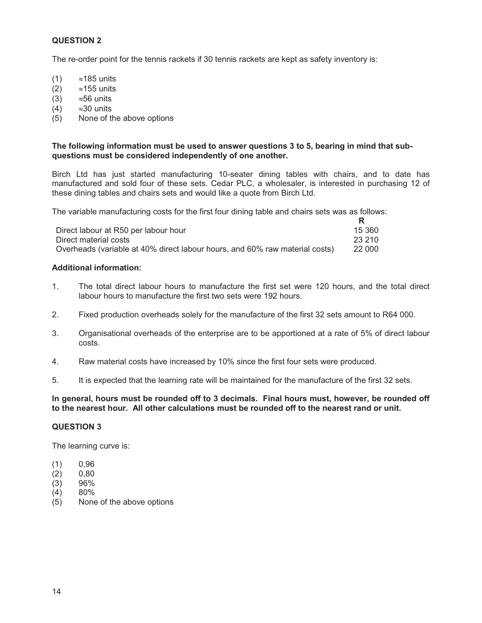The re-order point for the tennis rackets if 30 tennis rackets are kept as safety inventory is:

- $(1)$  $\approx$ 185 units
- $(2)$  $\approx$ 155 units
- $(3)$  $\approx$ 56 units
- $(4)$  $\approx$ 30 units
- (5) None of the above options

### **The following information must be used to answer questions 3 to 5, bearing in mind that subquestions must be considered independently of one another.**

Birch Ltd has just started manufacturing 10-seater dining tables with chairs, and to date has manufactured and sold four of these sets. Cedar PLC, a wholesaler, is interested in purchasing 12 of these dining tables and chairs sets and would like a quote from Birch Ltd.

The variable manufacturing costs for the first four dining table and chairs sets was as follows:

| Direct labour at R50 per labour hour                                        | 15 360  |
|-----------------------------------------------------------------------------|---------|
| Direct material costs                                                       | -23.210 |
| Overheads (variable at 40% direct labour hours, and 60% raw material costs) | 22 000  |

### **Additional information:**

- 1. The total direct labour hours to manufacture the first set were 120 hours, and the total direct labour hours to manufacture the first two sets were 192 hours.
- 2. Fixed production overheads solely for the manufacture of the first 32 sets amount to R64 000.
- 3. Organisational overheads of the enterprise are to be apportioned at a rate of 5% of direct labour costs.
- 4. Raw material costs have increased by 10% since the first four sets were produced.
- 5. It is expected that the learning rate will be maintained for the manufacture of the first 32 sets.

### **In general, hours must be rounded off to 3 decimals. Final hours must, however, be rounded off to the nearest hour. All other calculations must be rounded off to the nearest rand or unit.**

### **QUESTION 3**

The learning curve is:

- (1) 0,96
- (2) 0,80
- (3) 96%
- (4) 80%
- None of the above options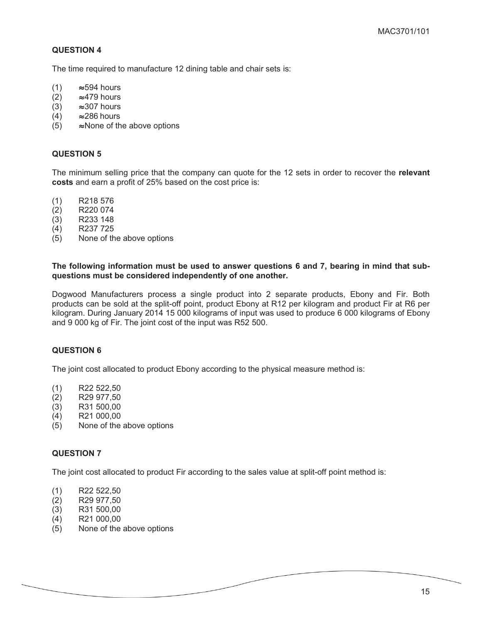The time required to manufacture 12 dining table and chair sets is:

- (1)  $\approx$  594 hours<br>(2)  $\approx$  479 hours
- (2)  $\approx$ 479 hours<br>(3)  $\approx$ 307 hours
- (3)  $\approx$  307 hours<br>(4)  $\approx$  286 hours
- (4)  $\approx$  286 hours<br>(5)  $\approx$  None of th
- $\approx$  None of the above options

### **QUESTION 5**

The minimum selling price that the company can quote for the 12 sets in order to recover the **relevant costs** and earn a profit of 25% based on the cost price is:

- (1) R218 576
- (2) R220 074
- (3) R233 148
- (4) R237 725
- (5) None of the above options

#### **The following information must be used to answer questions 6 and 7, bearing in mind that subquestions must be considered independently of one another.**

Dogwood Manufacturers process a single product into 2 separate products, Ebony and Fir. Both products can be sold at the split-off point, product Ebony at R12 per kilogram and product Fir at R6 per kilogram. During January 2014 15 000 kilograms of input was used to produce 6 000 kilograms of Ebony and 9 000 kg of Fir. The joint cost of the input was R52 500.

### **QUESTION 6**

The joint cost allocated to product Ebony according to the physical measure method is:

- (1) R22 522,50
- (2) R29 977,50
- (3) R31 500,00
- (4) R21 000,00
- (5) None of the above options

#### **QUESTION 7**

The joint cost allocated to product Fir according to the sales value at split-off point method is:

- (1) R22 522,50
- (2) R29 977,50
- (3) R31 500,00
- (4) R21 000,00
- (5) None of the above options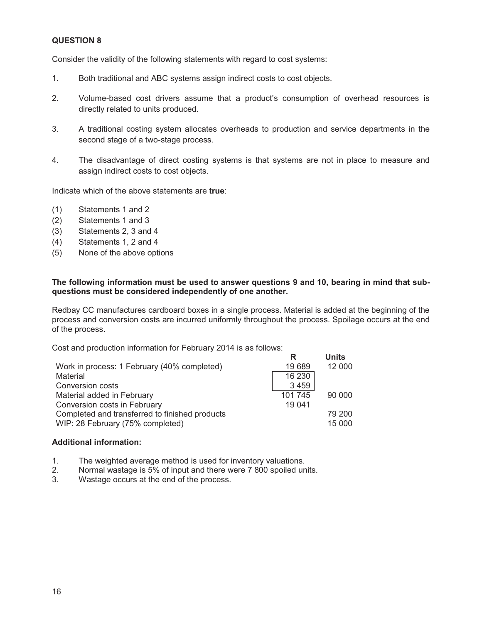Consider the validity of the following statements with regard to cost systems:

- 1. Both traditional and ABC systems assign indirect costs to cost objects.
- 2. Volume-based cost drivers assume that a product's consumption of overhead resources is directly related to units produced.
- 3. A traditional costing system allocates overheads to production and service departments in the second stage of a two-stage process.
- 4. The disadvantage of direct costing systems is that systems are not in place to measure and assign indirect costs to cost objects.

Indicate which of the above statements are **true**:

- (1) Statements 1 and 2
- (2) Statements 1 and 3
- (3) Statements 2, 3 and 4
- (4) Statements 1, 2 and 4
- (5) None of the above options

### **The following information must be used to answer questions 9 and 10, bearing in mind that subquestions must be considered independently of one another.**

Redbay CC manufactures cardboard boxes in a single process. Material is added at the beginning of the process and conversion costs are incurred uniformly throughout the process. Spoilage occurs at the end of the process.

Cost and production information for February 2014 is as follows:

|                                                | R       | <b>Units</b> |
|------------------------------------------------|---------|--------------|
| Work in process: 1 February (40% completed)    | 19 689  | 12 000       |
| Material                                       | 16 230  |              |
| <b>Conversion costs</b>                        | 3459    |              |
| Material added in February                     | 101 745 | 90 000       |
| Conversion costs in February                   | 19 041  |              |
| Completed and transferred to finished products |         | 79 200       |
| WIP: 28 February (75% completed)               |         | 15 000       |

#### **Additional information:**

- 1. The weighted average method is used for inventory valuations.
- 2. Normal wastage is 5% of input and there were 7 800 spoiled units.
- 3. Wastage occurs at the end of the process.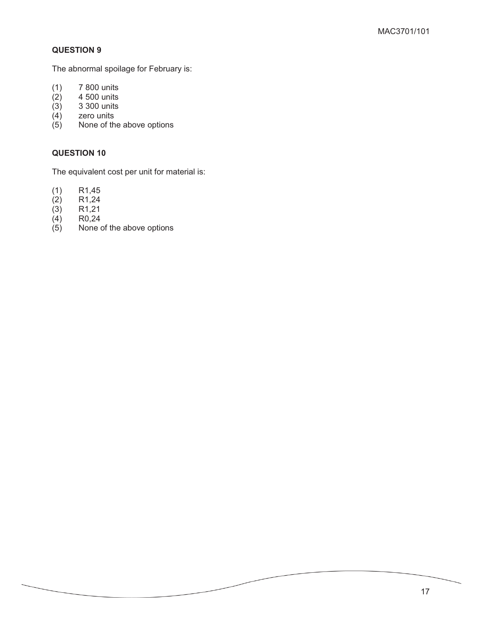The abnormal spoilage for February is:

- (1) 7 800 units
- $(2)$  4 500 units<br>  $(3)$  3 300 units
- (3) 3 300 units
- (4) zero units
- (5) None of the above options

### **QUESTION 10**

The equivalent cost per unit for material is:

- (1) R1,45
- (2) R1,24
- (3) R1,21
- (4)  $R0,24$ <br>(5) None of
- None of the above options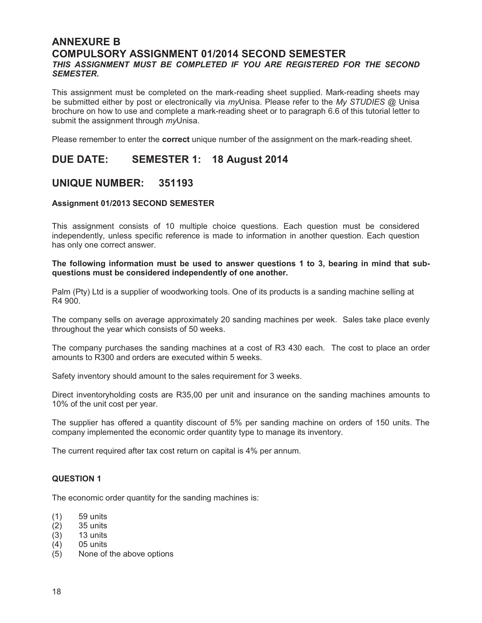### **ANNEXURE B COMPULSORY ASSIGNMENT 01/2014 SECOND SEMESTER**  *THIS ASSIGNMENT MUST BE COMPLETED IF YOU ARE REGISTERED FOR THE SECOND SEMESTER.*

This assignment must be completed on the mark-reading sheet supplied. Mark-reading sheets may be submitted either by post or electronically via *my*Unisa. Please refer to the *My STUDIES* @ Unisa brochure on how to use and complete a mark-reading sheet or to paragraph 6.6 of this tutorial letter to submit the assignment through *my*Unisa.

Please remember to enter the **correct** unique number of the assignment on the mark-reading sheet.

### **DUE DATE: SEMESTER 1: 18 August 2014**

### **UNIQUE NUMBER: 351193**

### **Assignment 01/2013 SECOND SEMESTER**

This assignment consists of 10 multiple choice questions. Each question must be considered independently, unless specific reference is made to information in another question. Each question has only one correct answer.

#### **The following information must be used to answer questions 1 to 3, bearing in mind that subquestions must be considered independently of one another.**

Palm (Pty) Ltd is a supplier of woodworking tools. One of its products is a sanding machine selling at R4 900.

The company sells on average approximately 20 sanding machines per week. Sales take place evenly throughout the year which consists of 50 weeks.

The company purchases the sanding machines at a cost of R3 430 each. The cost to place an order amounts to R300 and orders are executed within 5 weeks.

Safety inventory should amount to the sales requirement for 3 weeks.

Direct inventoryholding costs are R35,00 per unit and insurance on the sanding machines amounts to 10% of the unit cost per year.

The supplier has offered a quantity discount of 5% per sanding machine on orders of 150 units. The company implemented the economic order quantity type to manage its inventory.

The current required after tax cost return on capital is 4% per annum.

#### **QUESTION 1**

The economic order quantity for the sanding machines is:

- (1) 59 units
- (2) 35 units
- (3) 13 units
- (4) 05 units
- (5) None of the above options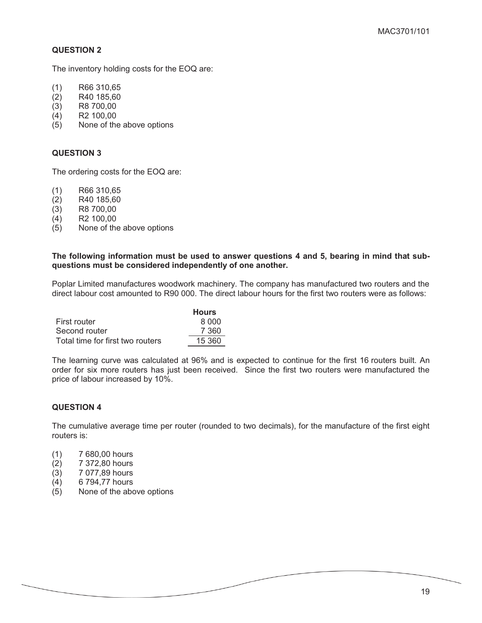The inventory holding costs for the EOQ are:

- (1) R66 310,65
- (2) R40 185,60
- (3) R8 700,00
- (4) R2 100,00
- (5) None of the above options

### **QUESTION 3**

The ordering costs for the EOQ are:

- (1) R66 310,65
- (2) R40 185,60
- (3) R8 700,00
- (4) R2 100,00
- (5) None of the above options

#### **The following information must be used to answer questions 4 and 5, bearing in mind that subquestions must be considered independently of one another.**

Poplar Limited manufactures woodwork machinery. The company has manufactured two routers and the direct labour cost amounted to R90 000. The direct labour hours for the first two routers were as follows:

|                                  | <b>Hours</b> |
|----------------------------------|--------------|
| First router                     | 8.000        |
| Second router                    | 7 360        |
| Total time for first two routers | 15 360       |

The learning curve was calculated at 96% and is expected to continue for the first 16 routers built. An order for six more routers has just been received. Since the first two routers were manufactured the price of labour increased by 10%.

### **QUESTION 4**

The cumulative average time per router (rounded to two decimals), for the manufacture of the first eight routers is:

- (1) 7 680,00 hours
- (2) 7 372,80 hours
- (3) 7 077,89 hours
- (4) 6 794,77 hours
- (5) None of the above options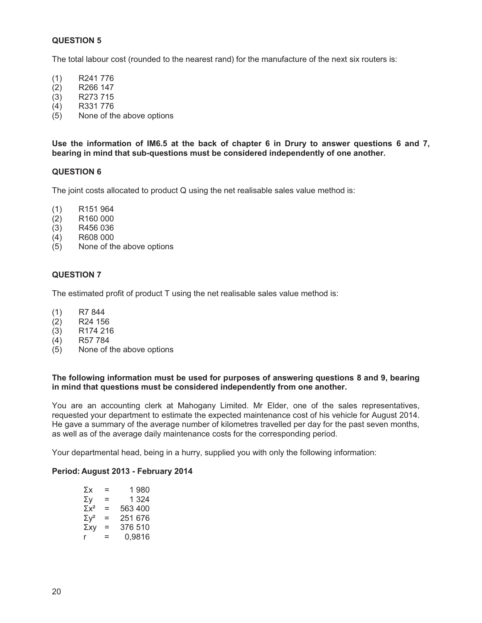The total labour cost (rounded to the nearest rand) for the manufacture of the next six routers is:

- (1) R241 776
- (2) R266 147
- (3) R273 715
- (4) R331 776
- (5) None of the above options

**Use the information of IM6.5 at the back of chapter 6 in Drury to answer questions 6 and 7, bearing in mind that sub-questions must be considered independently of one another.** 

#### **QUESTION 6**

The joint costs allocated to product Q using the net realisable sales value method is:

- (1) R151 964
- (2) R160 000
- (3) R456 036
- (4) R608 000
- (5) None of the above options

### **QUESTION 7**

The estimated profit of product T using the net realisable sales value method is:

- (1) R7 844
- $(2)$  R24 156
- (3) R174 216
- (4) R57 784
- (5) None of the above options

#### **The following information must be used for purposes of answering questions 8 and 9, bearing in mind that questions must be considered independently from one another.**

You are an accounting clerk at Mahogany Limited. Mr Elder, one of the sales representatives, requested your department to estimate the expected maintenance cost of his vehicle for August 2014. He gave a summary of the average number of kilometres travelled per day for the past seven months, as well as of the average daily maintenance costs for the corresponding period.

Your departmental head, being in a hurry, supplied you with only the following information:

#### **Period: August 2013 - February 2014**

| Σх                      | =        | 1 980   |
|-------------------------|----------|---------|
| Σγ                      | Ξ        | 1 3 2 4 |
| $\Sigma x^2$            | $=$      | 563 400 |
| $\Sigma$ V <sup>2</sup> | Ξ        | 251 676 |
| Σχγ                     | $\equiv$ | 376 510 |
|                         | =        | 0,9816  |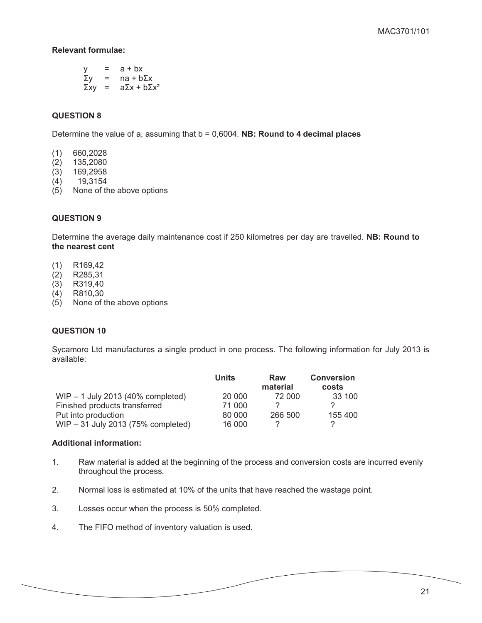### **Relevant formulae:**

|             | = | $a + bx$                  |
|-------------|---|---------------------------|
| Σγ          | = | $na + b\Sigma x$          |
| $\Sigma$ xy | = | $a\Sigma x + b\Sigma x^2$ |

### **QUESTION 8**

Determine the value of a, assuming that b = 0,6004. **NB: Round to 4 decimal places**

- (1) 660,2028
- (2) 135,2080
- (3) 169,2958
- (4) 19,3154
- (5) None of the above options

### **QUESTION 9**

Determine the average daily maintenance cost if 250 kilometres per day are travelled. **NB: Round to the nearest cent** 

- (1) R169,42
- (2) R285,31
- (3) R319,40
- (4) R810,30
- (5) None of the above options

### **QUESTION 10**

Sycamore Ltd manufactures a single product in one process. The following information for July 2013 is available:

|                                     | Units  | Raw<br>material | <b>Conversion</b><br>costs |
|-------------------------------------|--------|-----------------|----------------------------|
| $WIP - 1$ July 2013 (40% completed) | 20 000 | 72 000          | 33 100                     |
| Finished products transferred       | 71 000 |                 |                            |
| Put into production                 | 80 000 | 266 500         | 155 400                    |
| WIP - 31 July 2013 (75% completed)  | 16 000 |                 |                            |

### **Additional information:**

- 1. Raw material is added at the beginning of the process and conversion costs are incurred evenly throughout the process.
- 2. Normal loss is estimated at 10% of the units that have reached the wastage point.
- 3. Losses occur when the process is 50% completed.
- 4. The FIFO method of inventory valuation is used.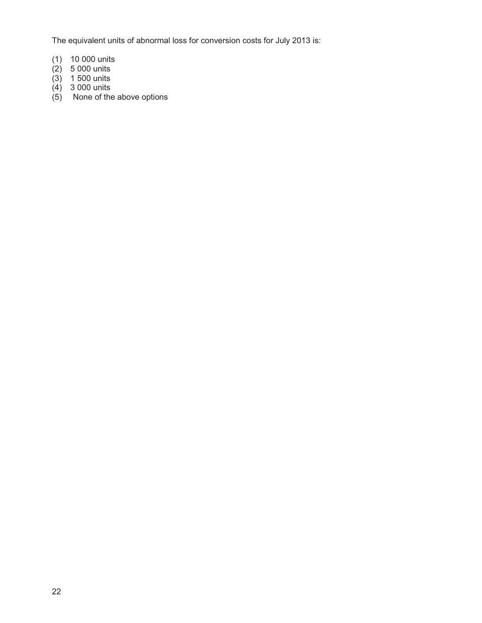The equivalent units of abnormal loss for conversion costs for July 2013 is:

- (1) 10 000 units
- (2) 5 000 units
- (3) 1 500 units
- (4) 3 000 units
- (5) None of the above options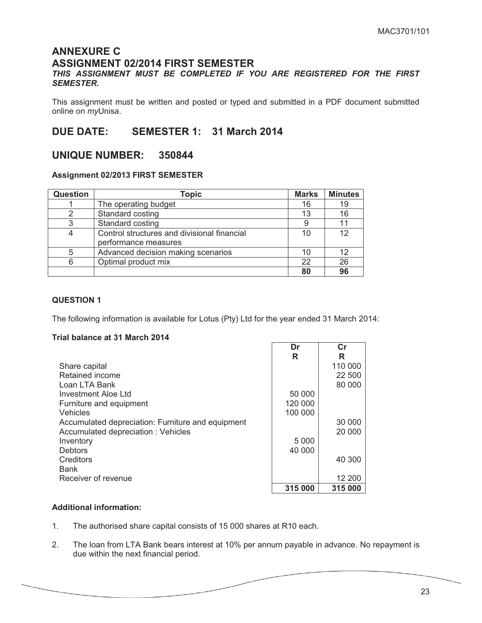### **ANNEXURE C ASSIGNMENT 02/2014 FIRST SEMESTER**

### *THIS ASSIGNMENT MUST BE COMPLETED IF YOU ARE REGISTERED FOR THE FIRST SEMESTER.*

This assignment must be written and posted or typed and submitted in a PDF document submitted online on *my*Unisa.

### **DUE DATE: SEMESTER 1: 31 March 2014**

### **UNIQUE NUMBER: 350844**

### **Assignment 02/2013 FIRST SEMESTER**

| Question | Topic                                       | <b>Marks</b> | <b>Minutes</b> |
|----------|---------------------------------------------|--------------|----------------|
|          | The operating budget                        | 16           | 19             |
|          | Standard costing                            | 13           | 16             |
|          | Standard costing                            |              | 11             |
|          | Control structures and divisional financial |              | 12             |
|          | performance measures                        |              |                |
|          | Advanced decision making scenarios          | 10           | 12             |
|          | Optimal product mix                         | 22           | 26             |
|          |                                             | 80           | 96             |

### **QUESTION 1**

The following information is available for Lotus (Pty) Ltd for the year ended 31 March 2014:

### **Trial balance at 31 March 2014**

|                                                   | Dr      | Сr      |
|---------------------------------------------------|---------|---------|
|                                                   | R       | R       |
| Share capital                                     |         | 110 000 |
| Retained income                                   |         | 22 500  |
| Loan LTA Bank                                     |         | 80 000  |
| Investment Aloe Ltd                               | 50 000  |         |
| Furniture and equipment                           | 120 000 |         |
| Vehicles                                          | 100 000 |         |
| Accumulated depreciation: Furniture and equipment |         | 30 000  |
| Accumulated depreciation: Vehicles                |         | 20 000  |
| Inventory                                         | 5 0 0 0 |         |
| <b>Debtors</b>                                    | 40 000  |         |
| Creditors                                         |         | 40 300  |
| <b>Bank</b>                                       |         |         |
| Receiver of revenue                               |         | 12 200  |
|                                                   | 315 000 | 315 000 |

### **Additional information:**

- 1. The authorised share capital consists of 15 000 shares at R10 each.
- 2. The loan from LTA Bank bears interest at 10% per annum payable in advance. No repayment is due within the next financial period.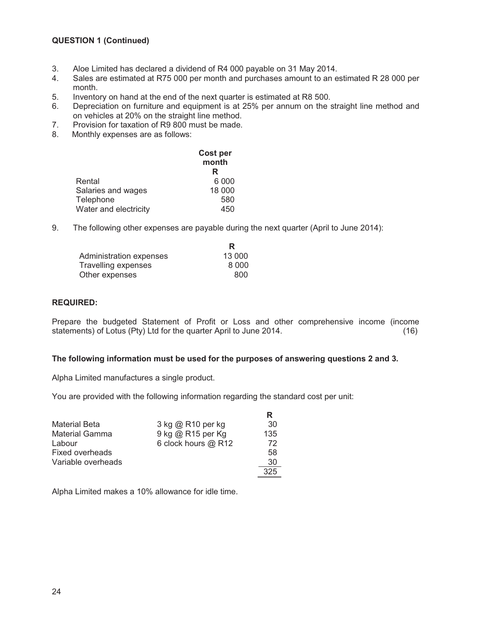### **QUESTION 1 (Continued)**

- 3. Aloe Limited has declared a dividend of R4 000 payable on 31 May 2014.<br>4. Sales are estimated at R75 000 per month and purchases amount to an e
- Sales are estimated at R75 000 per month and purchases amount to an estimated R 28 000 per month.
- 5. Inventory on hand at the end of the next quarter is estimated at R8 500.
- 6. Depreciation on furniture and equipment is at 25% per annum on the straight line method and on vehicles at 20% on the straight line method.
- 7. Provision for taxation of R9 800 must be made.
- 8. Monthly expenses are as follows:

|                       | Cost per<br>month |  |
|-----------------------|-------------------|--|
|                       | R                 |  |
| Rental                | 6 0 0 0           |  |
| Salaries and wages    | 18 000            |  |
| Telephone             | 580               |  |
| Water and electricity | 450               |  |

9. The following other expenses are payable during the next quarter (April to June 2014):

| R      |
|--------|
| 13 000 |
| 8.000  |
| 800    |
|        |

### **REQUIRED:**

Prepare the budgeted Statement of Profit or Loss and other comprehensive income (income statements) of Lotus (Pty) Ltd for the quarter April to June 2014. (16)

#### **The following information must be used for the purposes of answering questions 2 and 3.**

Alpha Limited manufactures a single product.

You are provided with the following information regarding the standard cost per unit:

|                       |                     | R   |
|-----------------------|---------------------|-----|
| <b>Material Beta</b>  | 3 kg @ R10 per kg   | 30  |
| <b>Material Gamma</b> | 9 kg @ R15 per Kg   | 135 |
| Labour                | 6 clock hours @ R12 | 72  |
| Fixed overheads       |                     | 58  |
| Variable overheads    |                     | 30  |
|                       |                     | 325 |

Alpha Limited makes a 10% allowance for idle time.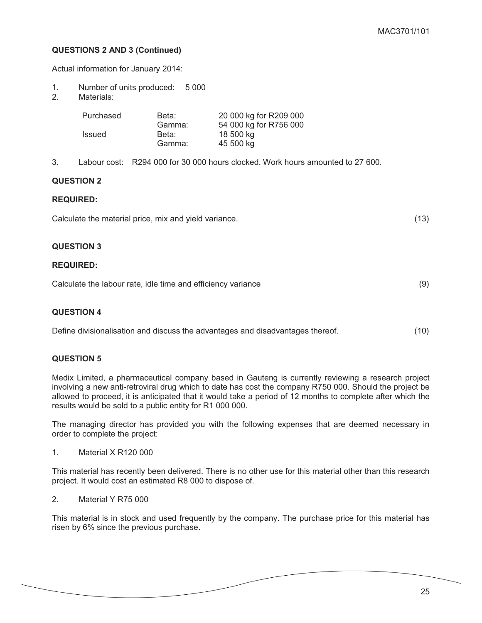### **QUESTIONS 2 AND 3 (Continued)**

Actual information for January 2014:

- 1. Number of units produced: 5 000<br>2. Materials:
- Materials:

| Purchased | Beta:  | 20 000 kg for R209 000 |
|-----------|--------|------------------------|
|           | Gamma: | 54 000 kg for R756 000 |
| Issued    | Beta:  | 18 500 ka              |
|           | Gamma: | 45 500 kg              |

3. Labour cost: R294 000 for 30 000 hours clocked. Work hours amounted to 27 600.

### **QUESTION 2**

### **REQUIRED:**

Calculate the material price, mix and yield variance. (13)

### **QUESTION 3**

### **REQUIRED:**

| Calculate the labour rate, idle time and efficiency variance |  |
|--------------------------------------------------------------|--|
|                                                              |  |

### **QUESTION 4**

Define divisionalisation and discuss the advantages and disadvantages thereof. (10)

### **QUESTION 5**

Medix Limited, a pharmaceutical company based in Gauteng is currently reviewing a research project involving a new anti-retroviral drug which to date has cost the company R750 000. Should the project be allowed to proceed, it is anticipated that it would take a period of 12 months to complete after which the results would be sold to a public entity for R1 000 000.

The managing director has provided you with the following expenses that are deemed necessary in order to complete the project:

1. Material X R120 000

This material has recently been delivered. There is no other use for this material other than this research project. It would cost an estimated R8 000 to dispose of.

2. Material Y R75 000

This material is in stock and used frequently by the company. The purchase price for this material has risen by 6% since the previous purchase.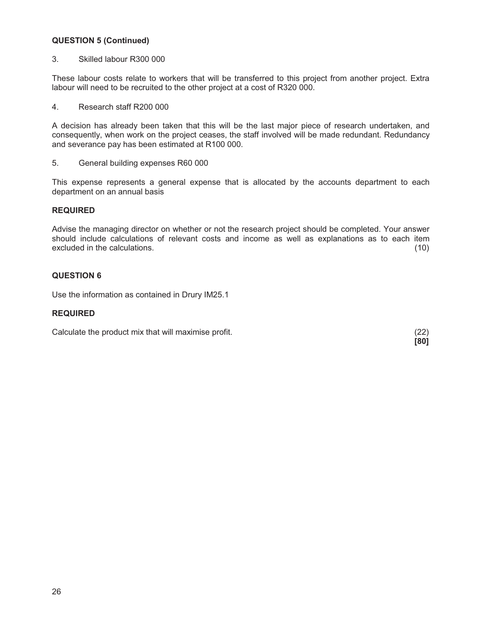### **QUESTION 5 (Continued)**

3. Skilled labour R300 000

These labour costs relate to workers that will be transferred to this project from another project. Extra labour will need to be recruited to the other project at a cost of R320 000.

4. Research staff R200 000

A decision has already been taken that this will be the last major piece of research undertaken, and consequently, when work on the project ceases, the staff involved will be made redundant. Redundancy and severance pay has been estimated at R100 000.

5. General building expenses R60 000

This expense represents a general expense that is allocated by the accounts department to each department on an annual basis

### **REQUIRED**

Advise the managing director on whether or not the research project should be completed. Your answer should include calculations of relevant costs and income as well as explanations as to each item excluded in the calculations. (10)

### **QUESTION 6**

Use the information as contained in Drury IM25.1

### **REQUIRED**

Calculate the product mix that will maximise profit. (22)

 **[80]**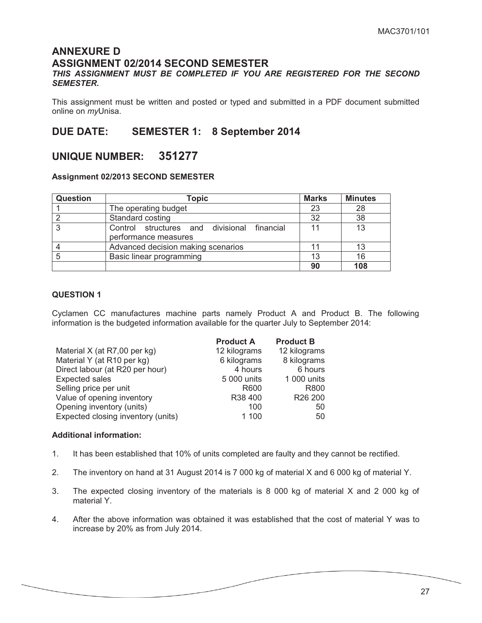### **ANNEXURE D ASSIGNMENT 02/2014 SECOND SEMESTER**

### *THIS ASSIGNMENT MUST BE COMPLETED IF YOU ARE REGISTERED FOR THE SECOND SEMESTER.*

This assignment must be written and posted or typed and submitted in a PDF document submitted online on *my*Unisa.

### **DUE DATE: SEMESTER 1: 8 September 2014**

### **UNIQUE NUMBER: 351277**

### **Assignment 02/2013 SECOND SEMESTER**

| <b>Question</b> | <b>Topic</b>                                                        | Marks | <b>Minutes</b> |
|-----------------|---------------------------------------------------------------------|-------|----------------|
|                 | The operating budget                                                | 23    | 28             |
|                 | Standard costing                                                    | 32    | 38             |
| - 2             | Control structures and divisional financial<br>performance measures | 11    | 13             |
|                 | Advanced decision making scenarios                                  |       | 13             |
|                 | Basic linear programming                                            | 13    | 16             |
|                 |                                                                     | 90    | 108            |

### **QUESTION 1**

Cyclamen CC manufactures machine parts namely Product A and Product B. The following information is the budgeted information available for the quarter July to September 2014:

|                                    | <b>Product A</b> | <b>Product B</b>    |
|------------------------------------|------------------|---------------------|
| Material X (at R7,00 per kg)       | 12 kilograms     | 12 kilograms        |
| Material Y (at R10 per kg)         | 6 kilograms      | 8 kilograms         |
| Direct labour (at R20 per hour)    | 4 hours          | 6 hours             |
| <b>Expected sales</b>              | 5 000 units      | 1 000 units         |
| Selling price per unit             | R600             | R800                |
| Value of opening inventory         | R38 400          | R <sub>26</sub> 200 |
| Opening inventory (units)          | 100              | 50                  |
| Expected closing inventory (units) | 1 100            | 50                  |

### **Additional information:**

- 1. It has been established that 10% of units completed are faulty and they cannot be rectified.
- 2. The inventory on hand at 31 August 2014 is 7 000 kg of material X and 6 000 kg of material Y.
- 3. The expected closing inventory of the materials is 8 000 kg of material X and 2 000 kg of material Y.
- 4. After the above information was obtained it was established that the cost of material Y was to increase by 20% as from July 2014.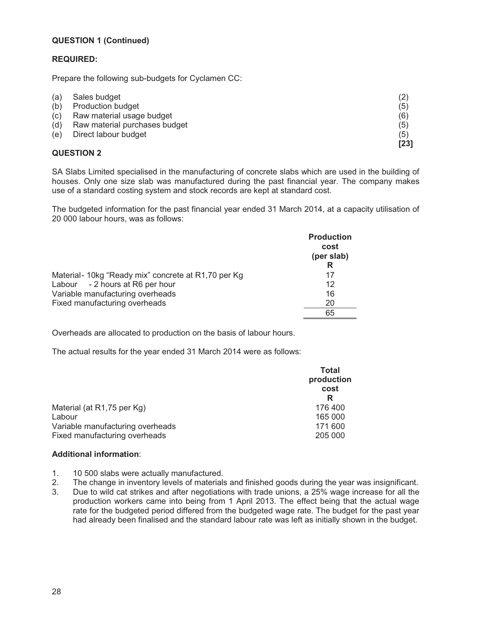### **QUESTION 1 (Continued)**

### **REQUIRED:**

Prepare the following sub-budgets for Cyclamen CC:

| (a) | Sales budget                  | (2)  |
|-----|-------------------------------|------|
| (b) | <b>Production budget</b>      | (5)  |
| (c) | Raw material usage budget     | (6)  |
| (d) | Raw material purchases budget | (5)  |
| (e) | Direct labour budget          | (5)  |
|     |                               | [23] |

### **QUESTION 2**

SA Slabs Limited specialised in the manufacturing of concrete slabs which are used in the building of houses. Only one size slab was manufactured during the past financial year. The company makes use of a standard costing system and stock records are kept at standard cost.

The budgeted information for the past financial year ended 31 March 2014, at a capacity utilisation of 20 000 labour hours, was as follows:

|                                                      | <b>Production</b><br>cost<br>(per slab)<br>R |
|------------------------------------------------------|----------------------------------------------|
| Material - 10kg "Ready mix" concrete at R1,70 per Kg | 17                                           |
| Labour - 2 hours at R6 per hour                      | 12                                           |
| Variable manufacturing overheads                     | 16                                           |
| Fixed manufacturing overheads                        | 20                                           |
|                                                      | 65                                           |

Overheads are allocated to production on the basis of labour hours.

The actual results for the year ended 31 March 2014 were as follows:

| Total<br>production<br>cost<br>R |
|----------------------------------|
| 176 400                          |
| 165 000                          |
| 171 600                          |
| 205 000                          |
|                                  |

### **Additional information**:

- 1. 10 500 slabs were actually manufactured.
- 2. The change in inventory levels of materials and finished goods during the year was insignificant.
- 3. Due to wild cat strikes and after negotiations with trade unions, a 25% wage increase for all the production workers came into being from 1 April 2013. The effect being that the actual wage rate for the budgeted period differed from the budgeted wage rate. The budget for the past year had already been finalised and the standard labour rate was left as initially shown in the budget.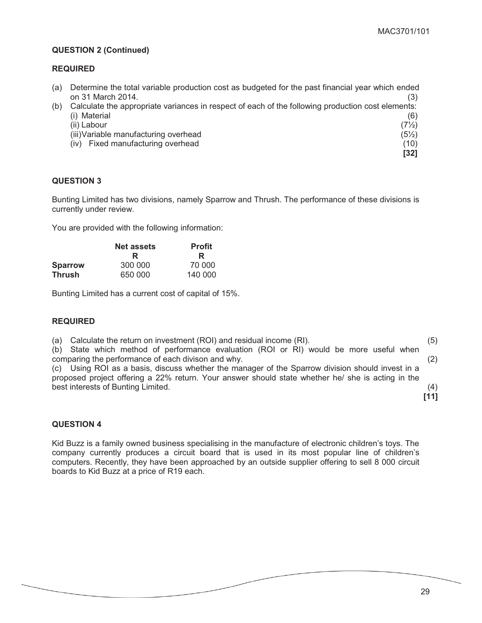### **QUESTION 2 (Continued)**

### **REQUIRED**

| (a) Determine the total variable production cost as budgeted for the past financial year which ended  |  |
|-------------------------------------------------------------------------------------------------------|--|
| on 31 March 2014.                                                                                     |  |
| (b) Calculate the appropriate variances in respect of each of the following production cost elements: |  |

| (i) Material                          |  | (6)              |
|---------------------------------------|--|------------------|
| (ii) Labour                           |  | $(7\frac{1}{2})$ |
| (iii) Variable manufacturing overhead |  | $(5\frac{1}{2})$ |
| Fixed manufacturing overhead<br>(iv)  |  | (10)             |

**[32]** 

### **QUESTION 3**

Bunting Limited has two divisions, namely Sparrow and Thrush. The performance of these divisions is currently under review.

You are provided with the following information:

|                | <b>Net assets</b><br>R | <b>Profit</b><br>R |
|----------------|------------------------|--------------------|
| <b>Sparrow</b> | 300 000                | 70 000             |
| <b>Thrush</b>  | 650 000                | 140 000            |

Bunting Limited has a current cost of capital of 15%.

### **REQUIRED**

(a) Calculate the return on investment (ROI) and residual income (RI). (5) (b) State which method of performance evaluation (ROI or RI) would be more useful when comparing the performance of each divison and why. (2) (c) Using ROI as a basis, discuss whether the manager of the Sparrow division should invest in a proposed project offering a 22% return. Your answer should state whether he/ she is acting in the best interests of Bunting Limited. (4) **[11]** 

### **QUESTION 4**

Kid Buzz is a family owned business specialising in the manufacture of electronic children's toys. The company currently produces a circuit board that is used in its most popular line of children's computers. Recently, they have been approached by an outside supplier offering to sell 8 000 circuit boards to Kid Buzz at a price of R19 each.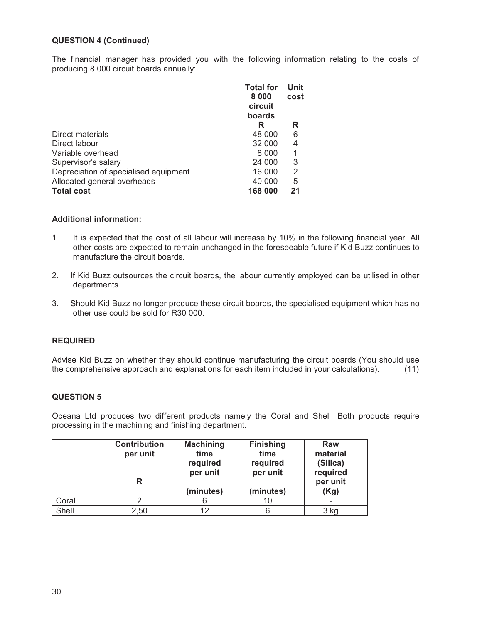### **QUESTION 4 (Continued)**

The financial manager has provided you with the following information relating to the costs of producing 8 000 circuit boards annually:

|                                       | <b>Total for</b><br>8 0 0 0<br>circuit<br>boards | Unit<br>cost |
|---------------------------------------|--------------------------------------------------|--------------|
|                                       | R                                                | R            |
| Direct materials                      | 48 000                                           | 6            |
| Direct labour                         | 32 000                                           | 4            |
| Variable overhead                     | 8 000                                            | 1            |
| Supervisor's salary                   | 24 000                                           | 3            |
| Depreciation of specialised equipment | 16 000                                           | 2            |
| Allocated general overheads           | 40 000                                           | 5            |
| <b>Total cost</b>                     | 168 000                                          | 21           |

### **Additional information:**

- 1. It is expected that the cost of all labour will increase by 10% in the following financial year. All other costs are expected to remain unchanged in the foreseeable future if Kid Buzz continues to manufacture the circuit boards.
- 2. If Kid Buzz outsources the circuit boards, the labour currently employed can be utilised in other departments.
- 3. Should Kid Buzz no longer produce these circuit boards, the specialised equipment which has no other use could be sold for R30 000.

### **REQUIRED**

Advise Kid Buzz on whether they should continue manufacturing the circuit boards (You should use the comprehensive approach and explanations for each item included in your calculations). (11)

### **QUESTION 5**

Oceana Ltd produces two different products namely the Coral and Shell. Both products require processing in the machining and finishing department.

|       | <b>Contribution</b><br>per unit<br>R | <b>Machining</b><br>time<br>required<br>per unit<br>(minutes) | <b>Finishing</b><br>time<br>required<br>per unit<br>(minutes) | Raw<br>material<br>(Silica)<br>required<br>per unit<br>(Kg) |
|-------|--------------------------------------|---------------------------------------------------------------|---------------------------------------------------------------|-------------------------------------------------------------|
| Coral |                                      |                                                               | 10                                                            |                                                             |
| Shell | 2,50                                 | 12                                                            |                                                               | 3 kg                                                        |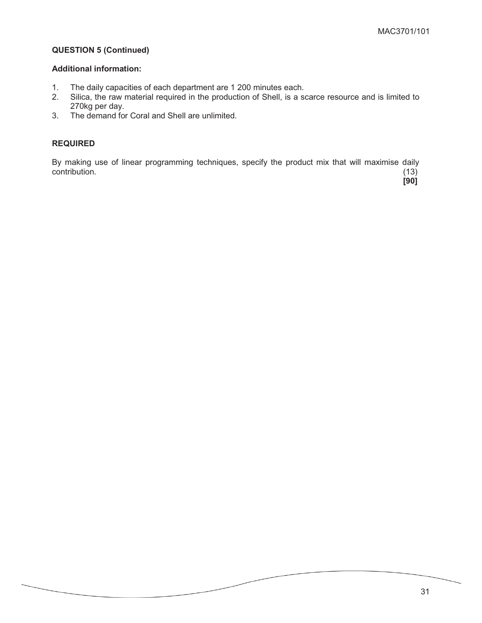### **QUESTION 5 (Continued)**

#### **Additional information:**

- 1. The daily capacities of each department are 1 200 minutes each.<br>2. Silica, the raw material required in the production of Shell, is a se
- Silica, the raw material required in the production of Shell, is a scarce resource and is limited to 270kg per day.
- 3. The demand for Coral and Shell are unlimited.

### **REQUIRED**

By making use of linear programming techniques, specify the product mix that will maximise daily  $\text{contribution.}$  (13)

 **[90]**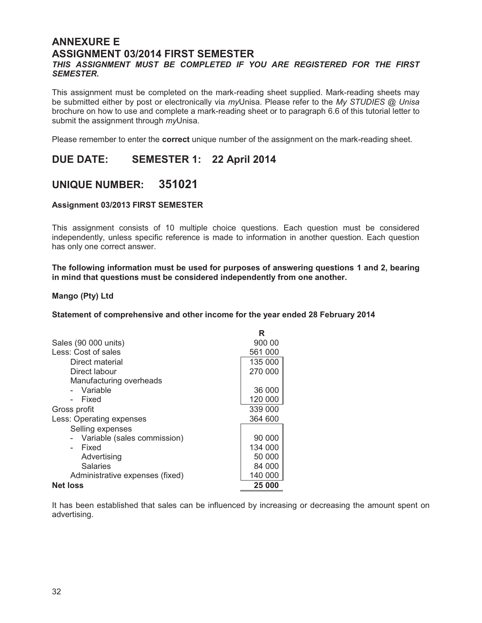### **ANNEXURE E ASSIGNMENT 03/2014 FIRST SEMESTER**

### *THIS ASSIGNMENT MUST BE COMPLETED IF YOU ARE REGISTERED FOR THE FIRST SEMESTER.*

This assignment must be completed on the mark-reading sheet supplied. Mark-reading sheets may be submitted either by post or electronically via *my*Unisa. Please refer to the *My STUDIES @ Unisa* brochure on how to use and complete a mark-reading sheet or to paragraph 6.6 of this tutorial letter to submit the assignment through *my*Unisa.

Please remember to enter the **correct** unique number of the assignment on the mark-reading sheet.

### **DUE DATE: SEMESTER 1: 22 April 2014**

### **UNIQUE NUMBER: 351021**

### **Assignment 03/2013 FIRST SEMESTER**

This assignment consists of 10 multiple choice questions. Each question must be considered independently, unless specific reference is made to information in another question. Each question has only one correct answer.

 **The following information must be used for purposes of answering questions 1 and 2, bearing in mind that questions must be considered independently from one another.** 

### **Mango (Pty) Ltd**

**Statement of comprehensive and other income for the year ended 28 February 2014** 

|                                 | R       |
|---------------------------------|---------|
| Sales (90 000 units)            | 900 00  |
| Less: Cost of sales             | 561 000 |
| Direct material                 | 135 000 |
| Direct labour                   | 270 000 |
| Manufacturing overheads         |         |
| - Variable                      | 36 000  |
| Fixed                           | 120 000 |
| Gross profit                    | 339 000 |
| Less: Operating expenses        | 364 600 |
| Selling expenses                |         |
| Variable (sales commission)     | 90 000  |
| Fixed                           | 134 000 |
| Advertising                     | 50 000  |
| Salaries                        | 84 000  |
| Administrative expenses (fixed) | 140 000 |
| <b>Net loss</b>                 | 25 000  |

It has been established that sales can be influenced by increasing or decreasing the amount spent on advertising.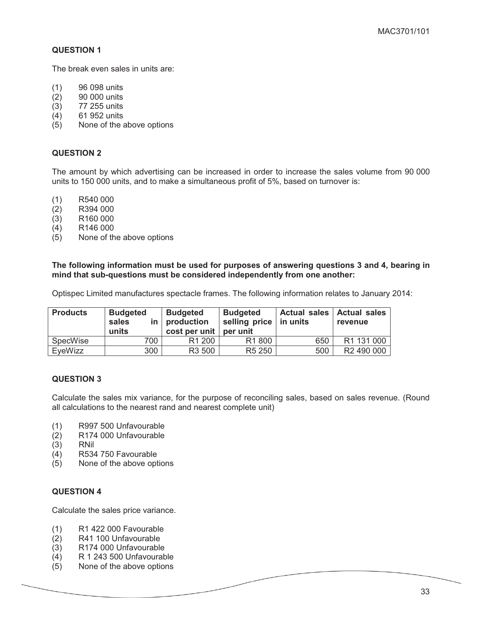The break even sales in units are:

- (1) 96 098 units
- (2) 90 000 units
- (3) 77 255 units
- (4) 61 952 units
- (5) None of the above options

### **QUESTION 2**

The amount by which advertising can be increased in order to increase the sales volume from 90 000 units to 150 000 units, and to make a simultaneous profit of 5%, based on turnover is:

- (1) R540 000
- (2) R394 000
- $(3)$  R160 000
- (4) R146 000
- (5) None of the above options

#### **The following information must be used for purposes of answering questions 3 and 4, bearing in mind that sub-questions must be considered independently from one another:**

Optispec Limited manufactures spectacle frames. The following information relates to January 2014:

| <b>Products</b> | <b>Budgeted</b><br>sales<br>units | <b>Budgeted</b><br>$in$   production<br>cost per unit | <b>Budgeted</b><br>selling price $ $ in units<br>per unit | Actual sales   Actual sales | revenue                |
|-----------------|-----------------------------------|-------------------------------------------------------|-----------------------------------------------------------|-----------------------------|------------------------|
| SpecWise        | 700                               | R <sub>1</sub> 200                                    | R1 800                                                    | 650                         | R1 131 000             |
| EveWizz         | 300                               | R3 500                                                | R <sub>5</sub> 250                                        | 500                         | R <sub>2</sub> 490 000 |

### **QUESTION 3**

Calculate the sales mix variance, for the purpose of reconciling sales, based on sales revenue. (Round all calculations to the nearest rand and nearest complete unit)

- (1) R997 500 Unfavourable
- (2) R174 000 Unfavourable
- (3) RNil
- (4) R534 750 Favourable
- (5) None of the above options

### **QUESTION 4**

Calculate the sales price variance.

- (1) R1 422 000 Favourable
- (2) R41 100 Unfavourable
- (3) R174 000 Unfavourable
- (4) R 1 243 500 Unfavourable
- (5) None of the above options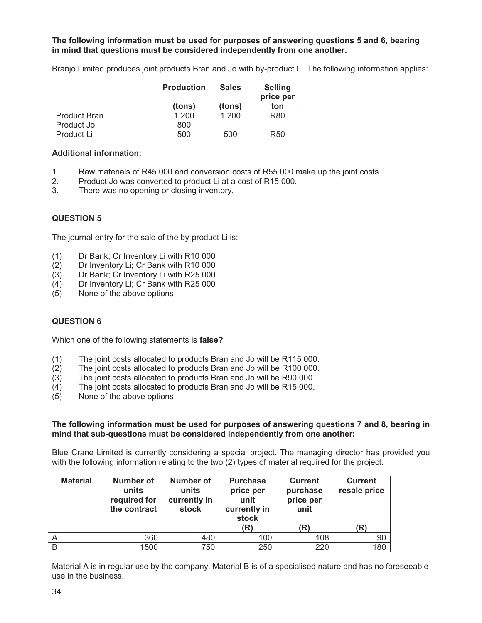### **The following information must be used for purposes of answering questions 5 and 6, bearing in mind that questions must be considered independently from one another.**

Branjo Limited produces joint products Bran and Jo with by-product Li. The following information applies:

|                     | <b>Production</b> | <b>Sales</b> | <b>Selling</b><br>price per |  |
|---------------------|-------------------|--------------|-----------------------------|--|
|                     | (tons)            | (tons)       | ton                         |  |
| <b>Product Bran</b> | 1 200             | 1 200        | R <sub>80</sub>             |  |
| Product Jo          | 800               |              |                             |  |
| Product Li          | 500               | 500          | R <sub>50</sub>             |  |

### **Additional information:**

- 1. Raw materials of R45 000 and conversion costs of R55 000 make up the joint costs.
- 2. Product Jo was converted to product Li at a cost of R15 000.
- 3. There was no opening or closing inventory.

### **QUESTION 5**

The journal entry for the sale of the by-product Li is:

- (1) Dr Bank; Cr Inventory Li with R10 000
- (2) Dr Inventory Li; Cr Bank with R10 000
- (3) Dr Bank; Cr Inventory Li with R25 000
- (4) Dr Inventory Li; Cr Bank with R25 000
- (5) None of the above options

### **QUESTION 6**

Which one of the following statements is **false?**

- (1) The joint costs allocated to products Bran and Jo will be R115 000.
- (2) The joint costs allocated to products Bran and Jo will be R100 000.
- (3) The joint costs allocated to products Bran and Jo will be R90 000.
- (4) The joint costs allocated to products Bran and Jo will be R15 000.
- (5) None of the above options

### **The following information must be used for purposes of answering questions 7 and 8, bearing in mind that sub-questions must be considered independently from one another:**

Blue Crane Limited is currently considering a special project. The managing director has provided you with the following information relating to the two (2) types of material required for the project:

| <b>Material</b> | <b>Number of</b><br>units<br>required for<br>the contract | <b>Number of</b><br>units<br>currently in<br>stock | <b>Purchase</b><br>price per<br>unit<br>currently in<br>stock | <b>Current</b><br>purchase<br>price per<br>unit | <b>Current</b><br>resale price |
|-----------------|-----------------------------------------------------------|----------------------------------------------------|---------------------------------------------------------------|-------------------------------------------------|--------------------------------|
|                 |                                                           |                                                    | (R)                                                           | (R)                                             | (R)                            |
|                 | 360                                                       | 480                                                | 100                                                           | 108                                             | 90                             |
| B               | 1500                                                      | 750                                                | 250                                                           | 220                                             | 180                            |

Material A is in regular use by the company. Material B is of a specialised nature and has no foreseeable use in the business.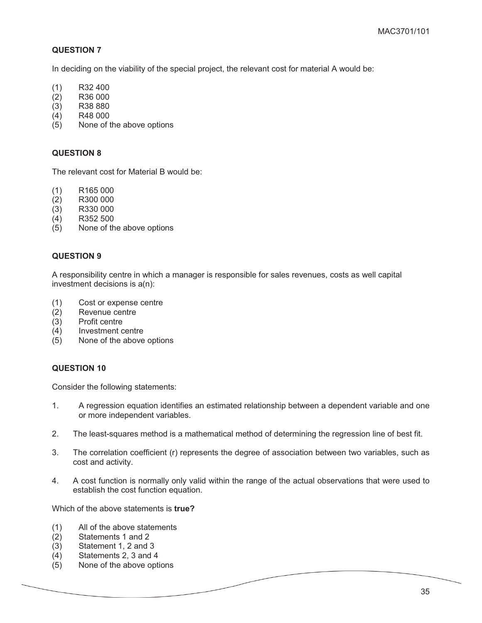In deciding on the viability of the special project, the relevant cost for material A would be:

- (1) R32 400
- (2) R36 000
- (3) R38 880
- (4) R48 000
- (5) None of the above options

### **QUESTION 8**

The relevant cost for Material B would be:

- (1) R165 000
- (2) R300 000
- (3) R330 000
- (4) R352 500
- (5) None of the above options

### **QUESTION 9**

A responsibility centre in which a manager is responsible for sales revenues, costs as well capital investment decisions is a(n):

- (1) Cost or expense centre
- (2) Revenue centre
- (3) Profit centre
- (4) Investment centre
- (5) None of the above options

### **QUESTION 10**

Consider the following statements:

- 1. A regression equation identifies an estimated relationship between a dependent variable and one or more independent variables.
- 2. The least-squares method is a mathematical method of determining the regression line of best fit.
- 3. The correlation coefficient (r) represents the degree of association between two variables, such as cost and activity.
- 4. A cost function is normally only valid within the range of the actual observations that were used to establish the cost function equation.

Which of the above statements is **true?** 

- (1) All of the above statements
- (2) Statements 1 and 2
- (3) Statement 1, 2 and 3
- (4) Statements 2, 3 and 4
- (5) None of the above options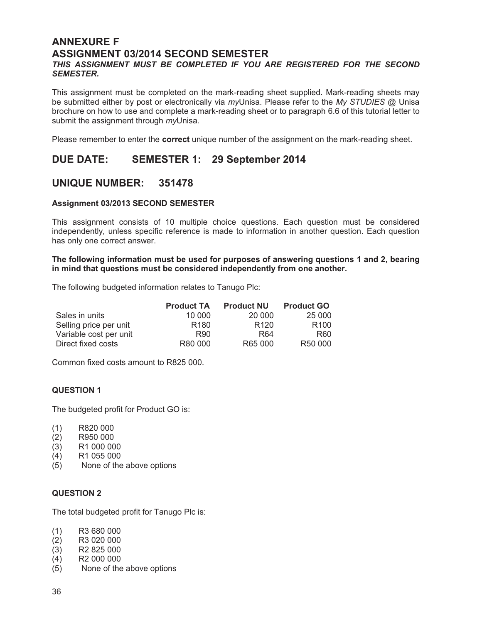### **ANNEXURE F ASSIGNMENT 03/2014 SECOND SEMESTER**

### *THIS ASSIGNMENT MUST BE COMPLETED IF YOU ARE REGISTERED FOR THE SECOND SEMESTER.*

This assignment must be completed on the mark-reading sheet supplied. Mark-reading sheets may be submitted either by post or electronically via *my*Unisa. Please refer to the *My STUDIES* @ Unisa brochure on how to use and complete a mark-reading sheet or to paragraph 6.6 of this tutorial letter to submit the assignment through *my*Unisa.

Please remember to enter the **correct** unique number of the assignment on the mark-reading sheet.

### **DUE DATE: SEMESTER 1: 29 September 2014**

### **UNIQUE NUMBER: 351478**

### **Assignment 03/2013 SECOND SEMESTER**

This assignment consists of 10 multiple choice questions. Each question must be considered independently, unless specific reference is made to information in another question. Each question has only one correct answer.

### **The following information must be used for purposes of answering questions 1 and 2, bearing in mind that questions must be considered independently from one another.**

The following budgeted information relates to Tanugo Plc:

|                        | <b>Product TA</b> | <b>Product NU</b> | <b>Product GO</b>   |
|------------------------|-------------------|-------------------|---------------------|
| Sales in units         | 10 000            | 20 000            | 25 000              |
| Selling price per unit | R <sub>180</sub>  | R <sub>120</sub>  | R <sub>100</sub>    |
| Variable cost per unit | R90               | R <sub>64</sub>   | R60                 |
| Direct fixed costs     | R80 000           | R65 000           | R <sub>50</sub> 000 |

Common fixed costs amount to R825 000.

### **QUESTION 1**

The budgeted profit for Product GO is:

- (1) R820 000
- (2) R950 000
- (3) R1 000 000
- (4) R1 055 000
- (5) None of the above options

### **QUESTION 2**

The total budgeted profit for Tanugo Plc is:

- (1) R3 680 000
- (2) R3 020 000
- (3) R2 825 000
- (4) R2 000 000
- (5) None of the above options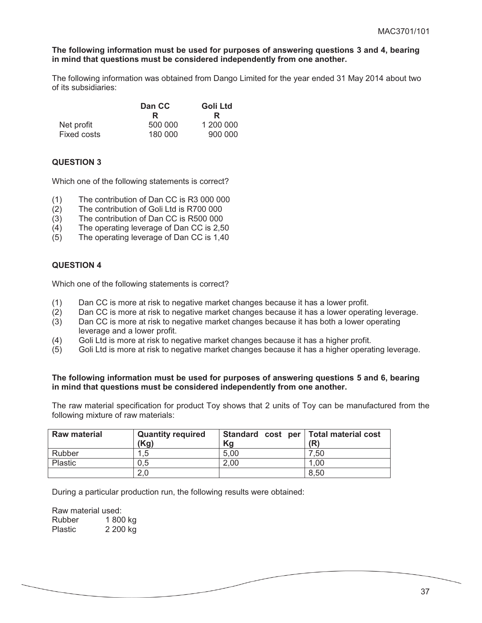#### **The following information must be used for purposes of answering questions 3 and 4, bearing in mind that questions must be considered independently from one another.**

The following information was obtained from Dango Limited for the year ended 31 May 2014 about two of its subsidiaries:

|             | Dan CC  | Goli Ltd  |  |
|-------------|---------|-----------|--|
|             | R       | R         |  |
| Net profit  | 500 000 | 1 200 000 |  |
| Fixed costs | 180 000 | 900 000   |  |

### **QUESTION 3**

Which one of the following statements is correct?

- (1) The contribution of Dan CC is R3 000 000
- (2) The contribution of Goli Ltd is R700 000
- (3) The contribution of Dan CC is R500 000
- (4) The operating leverage of Dan CC is 2,50
- (5) The operating leverage of Dan CC is 1,40

### **QUESTION 4**

Which one of the following statements is correct?

- (1) Dan CC is more at risk to negative market changes because it has a lower profit.
- (2) Dan CC is more at risk to negative market changes because it has a lower operating leverage.
- (3) Dan CC is more at risk to negative market changes because it has both a lower operating leverage and a lower profit.
- (4) Goli Ltd is more at risk to negative market changes because it has a higher profit.
- (5) Goli Ltd is more at risk to negative market changes because it has a higher operating leverage.

#### **The following information must be used for purposes of answering questions 5 and 6, bearing in mind that questions must be considered independently from one another.**

The raw material specification for product Toy shows that 2 units of Toy can be manufactured from the following mixture of raw materials:

| <b>Raw material</b> | <b>Quantity required</b><br>(Kg) | Standard cost per   Total material cost<br>Kg | (R)  |
|---------------------|----------------------------------|-----------------------------------------------|------|
| Rubber              | .5                               | 5,00                                          | .50  |
| Plastic             | 0.5                              | 2,00                                          | 1,00 |
|                     | 2,0                              |                                               | 8,50 |

During a particular production run, the following results were obtained:

Raw material used:<br>Rubber 1800 1 800 kg Plastic 2 200 kg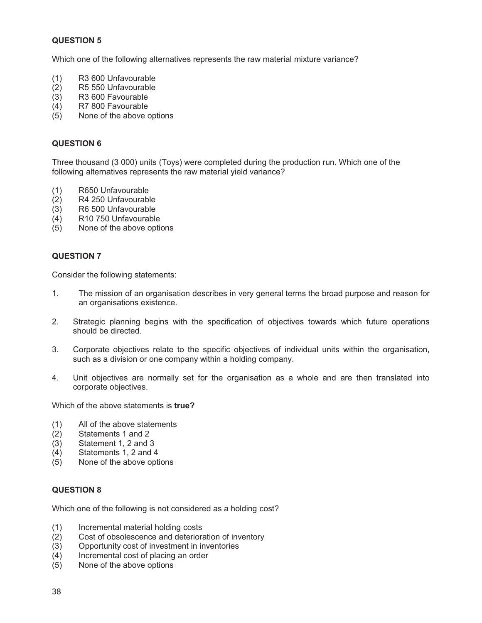Which one of the following alternatives represents the raw material mixture variance?

- (1) R3 600 Unfavourable
- (2) R5 550 Unfavourable
- (3) R3 600 Favourable
- (4) R7 800 Favourable
- (5) None of the above options

### **QUESTION 6**

Three thousand (3 000) units (Toys) were completed during the production run. Which one of the following alternatives represents the raw material yield variance?

- (1) R650 Unfavourable
- (2) R4 250 Unfavourable
- (3) R6 500 Unfavourable
- (4) R10 750 Unfavourable
- (5) None of the above options

### **QUESTION 7**

Consider the following statements:

- 1. The mission of an organisation describes in very general terms the broad purpose and reason for an organisations existence.
- 2. Strategic planning begins with the specification of objectives towards which future operations should be directed.
- 3. Corporate objectives relate to the specific objectives of individual units within the organisation, such as a division or one company within a holding company.
- 4. Unit objectives are normally set for the organisation as a whole and are then translated into corporate objectives.

Which of the above statements is **true?** 

- (1) All of the above statements
- (2) Statements 1 and 2
- (3) Statement 1, 2 and 3
- (4) Statements 1, 2 and 4
- (5) None of the above options

### **QUESTION 8**

Which one of the following is not considered as a holding cost?

- (1) Incremental material holding costs
- (2) Cost of obsolescence and deterioration of inventory
- (3) Opportunity cost of investment in inventories
- (4) Incremental cost of placing an order
- (5) None of the above options